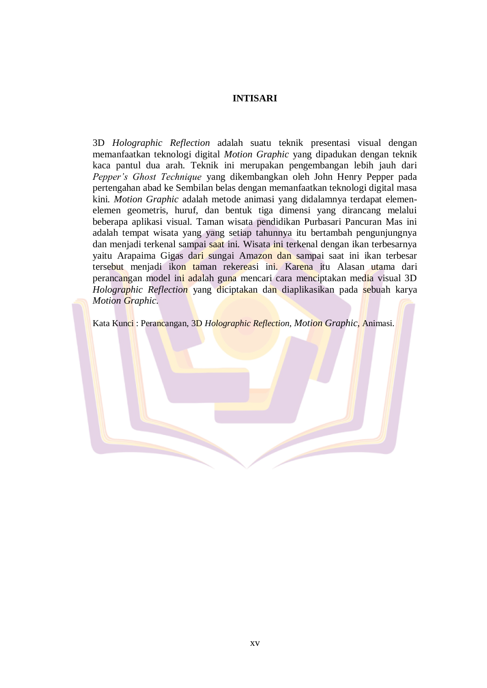## **INTISARI**

3D *Holographic Reflection* adalah suatu teknik presentasi visual dengan memanfaatkan teknologi digital *Motion Graphic* yang dipadukan dengan teknik kaca pantul dua arah. Teknik ini merupakan pengembangan lebih jauh dari *Pepper's Ghost Technique* yang dikembangkan oleh John Henry Pepper pada pertengahan abad ke Sembilan belas dengan memanfaatkan teknologi digital masa kini. *Motion Graphic* adalah metode animasi yang didalamnya terdapat elemenelemen geometris, huruf, dan bentuk tiga dimensi yang dirancang melalui beberapa aplikasi visual. Taman wisata pendidikan Purbasari Pancuran Mas ini adalah tempat wisata yang yang setiap tahunnya itu bertambah pengunjungnya dan menjadi terkenal sampai saat ini. Wisata ini terkenal dengan ikan terbesarnya yaitu Arapaima Gigas dari sungai Amazon dan sampai saat ini ikan terbesar tersebut menjadi ikon taman rekereasi ini. Karena itu Alasan utama dari perancangan model ini adalah guna mencari cara menciptakan media visual 3D *Holographic Reflection* yang diciptakan dan diaplikasikan pada sebuah karya *Motion Graphic.*

Kata Kunci : Perancangan, 3D *Holographic Reflection*, *Motion Graphic*, Animasi.